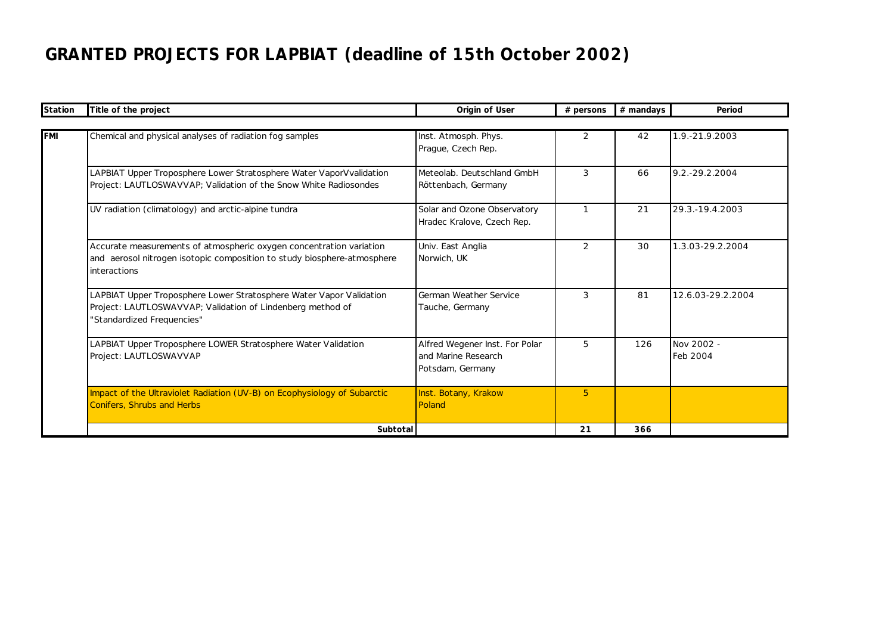## **GRANTED PROJECTS FOR LAPBIAT (deadline of 15th October 2002)**

| Station    | Title of the project                                                                           | Origin of User                          | # persons      | # mandays | Period            |
|------------|------------------------------------------------------------------------------------------------|-----------------------------------------|----------------|-----------|-------------------|
|            |                                                                                                |                                         |                |           |                   |
| <b>FMI</b> | Chemical and physical analyses of radiation fog samples                                        | Inst. Atmosph. Phys.                    | 2              | 42        | 1.9.-21.9.2003    |
|            |                                                                                                | Prague, Czech Rep.                      |                |           |                   |
|            | LAPBIAT Upper Troposphere Lower Stratosphere Water VaporVvalidation                            | Meteolab, Deutschland GmbH              | 3              | 66        | 9.2.-29.2.2004    |
|            | Project: LAUTLOSWAVVAP; Validation of the Snow White Radiosondes                               | Röttenbach, Germany                     |                |           |                   |
|            | UV radiation (climatology) and arctic-alpine tundra                                            | Solar and Ozone Observatory             | $\mathbf{1}$   | 21        | 29.3.-19.4.2003   |
|            |                                                                                                | Hradec Kralove, Czech Rep.              |                |           |                   |
|            | Accurate measurements of atmospheric oxygen concentration variation                            | Univ. East Anglia                       | 2              | 30        | 1.3.03-29.2.2004  |
|            | and aerosol nitrogen isotopic composition to study biosphere-atmosphere<br><i>interactions</i> | Norwich, UK                             |                |           |                   |
|            | LAPBIAT Upper Troposphere Lower Stratosphere Water Vapor Validation                            | German Weather Service                  | 3              | 81        | 12.6.03-29.2.2004 |
|            | Project: LAUTLOSWAVVAP; Validation of Lindenberg method of<br>'Standardized Frequencies"       | Tauche, Germany                         |                |           |                   |
|            | LAPBIAT Upper Troposphere LOWER Stratosphere Water Validation                                  | Alfred Wegener Inst. For Polar          | 5              | 126       | Nov 2002 -        |
|            | Project: LAUTLOSWAVVAP                                                                         | and Marine Research<br>Potsdam, Germany |                |           | Feb 2004          |
|            | Impact of the Ultraviolet Radiation (UV-B) on Ecophysiology of Subarctic                       | Inst. Botany, Krakow                    | 5 <sup>5</sup> |           |                   |
|            | Conifers, Shrubs and Herbs                                                                     | Poland                                  |                |           |                   |
|            | Subtotal                                                                                       |                                         | 21             | 366       |                   |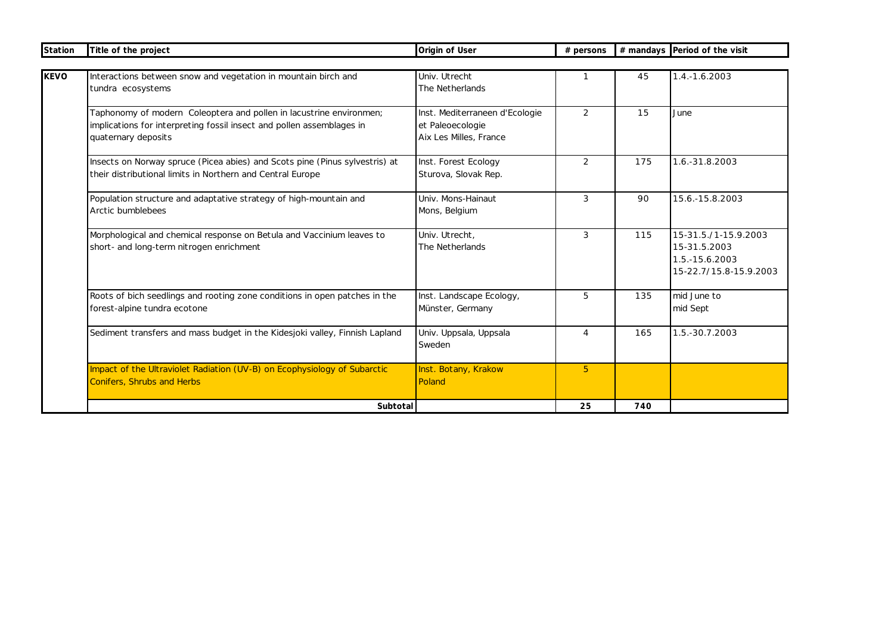| Station | Title of the project                                                                                                                                                | Origin of User                                                               | # persons |     | # mandays Period of the visit                                                    |
|---------|---------------------------------------------------------------------------------------------------------------------------------------------------------------------|------------------------------------------------------------------------------|-----------|-----|----------------------------------------------------------------------------------|
|         |                                                                                                                                                                     |                                                                              |           |     |                                                                                  |
|         | Interactions between snow and vegetation in mountain birch and<br>tundra ecosystems                                                                                 | Univ. Utrecht<br>The Netherlands                                             | -1        | 45  | 1.4.-1.6.2003                                                                    |
|         | Taphonomy of modern Coleoptera and pollen in lacustrine environmen;<br>implications for interpreting fossil insect and pollen assemblages in<br>quaternary deposits | Inst. Mediterraneen d'Ecologie<br>et Paleoecologie<br>Aix Les Milles, France | 2         | 15  | June                                                                             |
|         | Insects on Norway spruce (Picea abies) and Scots pine (Pinus sylvestris) at<br>their distributional limits in Northern and Central Europe                           | Inst. Forest Ecology<br>Sturova, Slovak Rep.                                 | 2         | 175 | 1.6.-31.8.2003                                                                   |
|         | Population structure and adaptative strategy of high-mountain and<br>Arctic bumblebees                                                                              | Univ. Mons-Hainaut<br>Mons, Belgium                                          | 3         | 90  | 15.6.-15.8.2003                                                                  |
|         | Morphological and chemical response on Betula and Vaccinium leaves to<br>short- and long-term nitrogen enrichment                                                   | Univ. Utrecht.<br>The Netherlands                                            | 3         | 115 | 15-31.5./1-15.9.2003<br>15-31.5.2003<br>1.5.-15.6.2003<br>15-22.7/15.8-15.9.2003 |
|         | Roots of bich seedlings and rooting zone conditions in open patches in the<br>forest-alpine tundra ecotone                                                          | Inst. Landscape Ecology,<br>Münster, Germany                                 | 5         | 135 | mid June to<br>mid Sept                                                          |
|         | Sediment transfers and mass budget in the Kidesjoki valley, Finnish Lapland                                                                                         | Univ. Uppsala, Uppsala<br>Sweden                                             | 4         | 165 | 1.5.-30.7.2003                                                                   |
|         | Impact of the Ultraviolet Radiation (UV-B) on Ecophysiology of Subarctic<br><b>Conifers, Shrubs and Herbs</b>                                                       | Inst. Botany, Krakow<br>Poland                                               | 5         |     |                                                                                  |
|         | Subtotal                                                                                                                                                            |                                                                              | 25        | 740 |                                                                                  |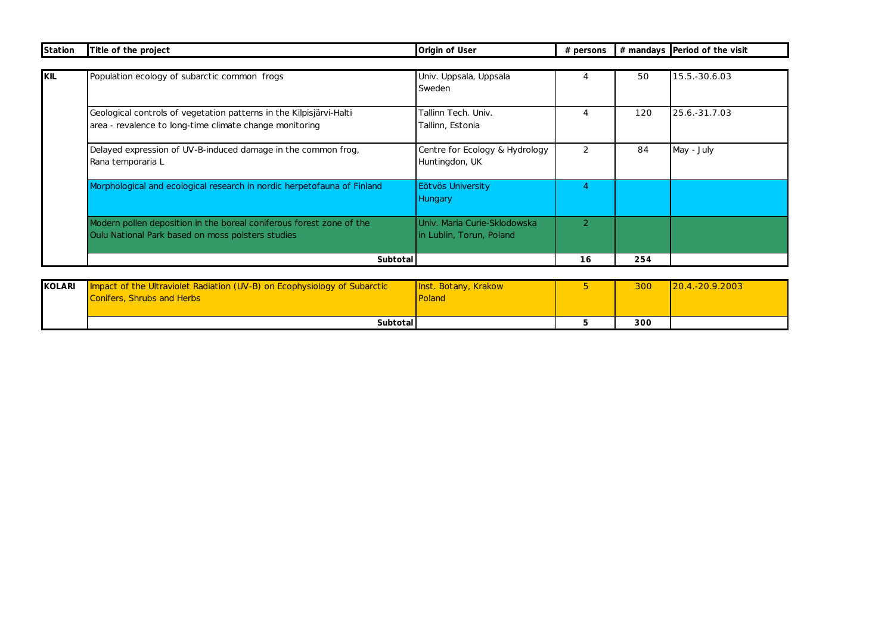| Station    | Title of the project                                                                                                           | Origin of User                                           | $#$ persons    |     | # mandays Period of the visit |
|------------|--------------------------------------------------------------------------------------------------------------------------------|----------------------------------------------------------|----------------|-----|-------------------------------|
|            |                                                                                                                                |                                                          |                |     |                               |
| <b>KIL</b> | Population ecology of subarctic common frogs                                                                                   | Univ. Uppsala, Uppsala<br>Sweden                         | 4              | 50  | 15.5.-30.6.03                 |
|            | Geological controls of vegetation patterns in the Kilpisjärvi-Halti<br>area - revalence to long-time climate change monitoring | Tallinn Tech. Univ.<br>Tallinn, Estonia                  | 4              | 120 | 25.6.-31.7.03                 |
|            | Delayed expression of UV-B-induced damage in the common frog.<br>Rana temporaria L                                             | Centre for Ecology & Hydrology<br>Huntingdon, UK         | $\mathcal{P}$  | 84  | May - July                    |
|            | Morphological and ecological research in nordic herpetofauna of Finland                                                        | Eötvös University<br><b>Hungary</b>                      | 4              |     |                               |
|            | Modern pollen deposition in the boreal coniferous forest zone of the<br>Oulu National Park based on moss polsters studies      | Univ. Maria Curie-Sklodowska<br>in Lublin, Torun, Poland | $\overline{2}$ |     |                               |
|            | Subtotal                                                                                                                       |                                                          | 16             | 254 |                               |

| KOLARI | Impact of the Ultraviolet Radiation (UV-B) on Ecophysiology of Subarctic | Inst. Botany, Krakow | 300 | $120.4 - 20.9.2003$ |
|--------|--------------------------------------------------------------------------|----------------------|-----|---------------------|
|        | <b>Conifers, Shrubs and Herbs</b>                                        | Poland               |     |                     |
|        |                                                                          |                      |     |                     |
|        | Subtotal                                                                 |                      | 300 |                     |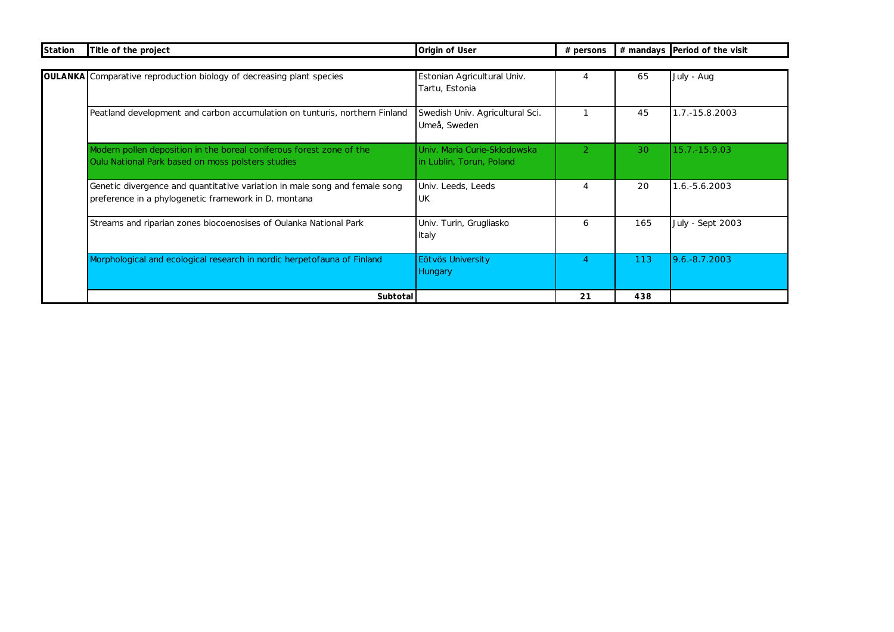| Station | Title of the project                                                                                                               | Origin of User                                           | # persons      |     | # mandays Period of the visit |
|---------|------------------------------------------------------------------------------------------------------------------------------------|----------------------------------------------------------|----------------|-----|-------------------------------|
|         |                                                                                                                                    |                                                          |                |     |                               |
|         | <b>OULANKA</b> Comparative reproduction biology of decreasing plant species                                                        | Estonian Agricultural Univ.<br>Tartu, Estonia            | 4              | 65  | July - Aug                    |
|         | Peatland development and carbon accumulation on tunturis, northern Finland                                                         | Swedish Univ. Agricultural Sci.<br>Umeå, Sweden          |                | 45  | 1.7.-15.8.2003                |
|         | Modern pollen deposition in the boreal coniferous forest zone of the<br>Oulu National Park based on moss polsters studies          | Univ. Maria Curie-Sklodowska<br>in Lublin, Torun, Poland | $\overline{2}$ | 30  | 15.7.-15.9.03                 |
|         | Genetic divergence and quantitative variation in male song and female song<br>preference in a phylogenetic framework in D. montana | Univ. Leeds, Leeds<br><b>UK</b>                          | $\overline{4}$ | 20  | 1.6.-5.6.2003                 |
|         | Streams and riparian zones biocoenosises of Oulanka National Park                                                                  | Univ. Turin, Grugliasko<br>Italy                         | 6              | 165 | <b>July - Sept 2003</b>       |
|         | Morphological and ecological research in nordic herpetofauna of Finland                                                            | Eötvös University<br>Hungary                             | 4              | 113 | 9.6.-8.7.2003                 |
|         | Subtotal                                                                                                                           |                                                          | 21             | 438 |                               |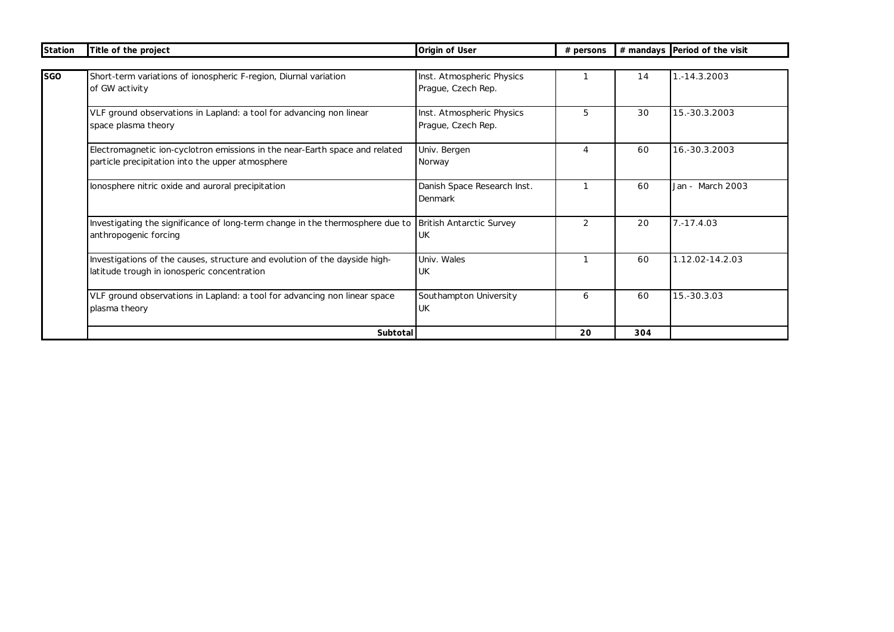| Station | Title of the project                                                          | Origin of User                  | # persons |     | # mandays Period of the visit |
|---------|-------------------------------------------------------------------------------|---------------------------------|-----------|-----|-------------------------------|
|         |                                                                               |                                 |           |     |                               |
| SGO     | Short-term variations of ionospheric F-region, Diurnal variation              | Inst. Atmospheric Physics       |           | 14  | 1.-14.3.2003                  |
|         | of GW activity                                                                | Prague, Czech Rep.              |           |     |                               |
|         | VLF ground observations in Lapland: a tool for advancing non linear           | Inst. Atmospheric Physics       | 5         | 30  | 15.-30.3.2003                 |
|         | space plasma theory                                                           | Prague, Czech Rep.              |           |     |                               |
|         | Electromagnetic ion-cyclotron emissions in the near-Earth space and related   | Univ. Bergen                    | 4         | 60  | 16.-30.3.2003                 |
|         | particle precipitation into the upper atmosphere                              | Norway                          |           |     |                               |
|         | lonosphere nitric oxide and auroral precipitation                             | Danish Space Research Inst.     |           | 60  | Jan - March 2003              |
|         |                                                                               | Denmark                         |           |     |                               |
|         | Investigating the significance of long-term change in the thermosphere due to | <b>British Antarctic Survey</b> | 2         | 20  | $7. - 17.4.03$                |
|         | anthropogenic forcing                                                         | UK                              |           |     |                               |
|         | Investigations of the causes, structure and evolution of the dayside high-    | Univ. Wales                     |           | 60  | 1.12.02-14.2.03               |
|         | latitude trough in ionosperic concentration                                   | UK                              |           |     |                               |
|         | VLF ground observations in Lapland: a tool for advancing non linear space     | Southampton University          | 6         | 60  | 15.-30.3.03                   |
|         | plasma theory                                                                 | <b>UK</b>                       |           |     |                               |
|         | Subtotal                                                                      |                                 | 20        | 304 |                               |